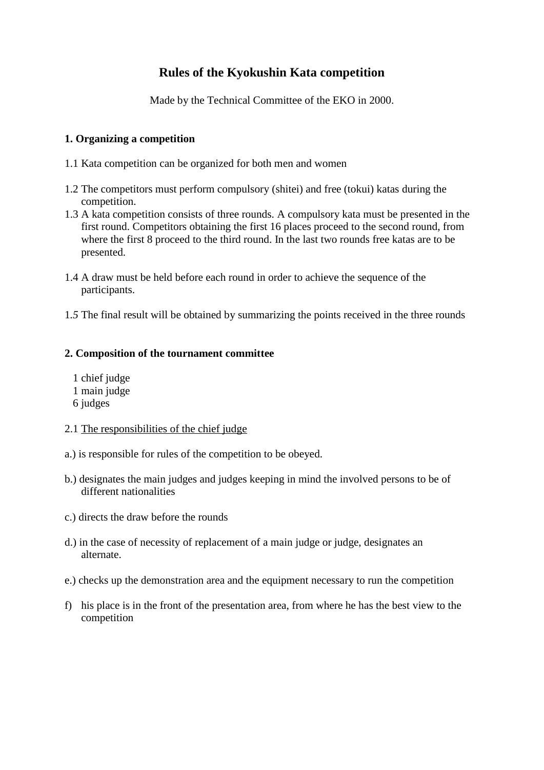# **Rules of the Kyokushin Kata competition**

Made by the Technical Committee of the EKO in 2000.

# **1. Organizing a competition**

- 1.1 Kata competition can be organized for both men and women
- 1.2 The competitors must perform compulsory (shitei) and free (tokui) katas during the competition.
- 1.3 A kata competition consists of three rounds. A compulsory kata must be presented in the first round. Competitors obtaining the first 16 places proceed to the second round, from where the first 8 proceed to the third round. In the last two rounds free katas are to be presented.
- 1.4 A draw must be held before each round in order to achieve the sequence of the participants.
- 1*.5* The final result will be obtained by summarizing the points received in the three rounds

# **2. Composition of the tournament committee**

 1 chief judge 1 main judge 6 judges

## 2.1 The responsibilities of the chief judge

- a.) is responsible for rules of the competition to be obeyed.
- b.) designates the main judges and judges keeping in mind the involved persons to be of different nationalities
- c.) directs the draw before the rounds
- d.) in the case of necessity of replacement of a main judge or judge, designates an alternate.
- e.) checks up the demonstration area and the equipment necessary to run the competition
- f) his place is in the front of the presentation area, from where he has the best view to the competition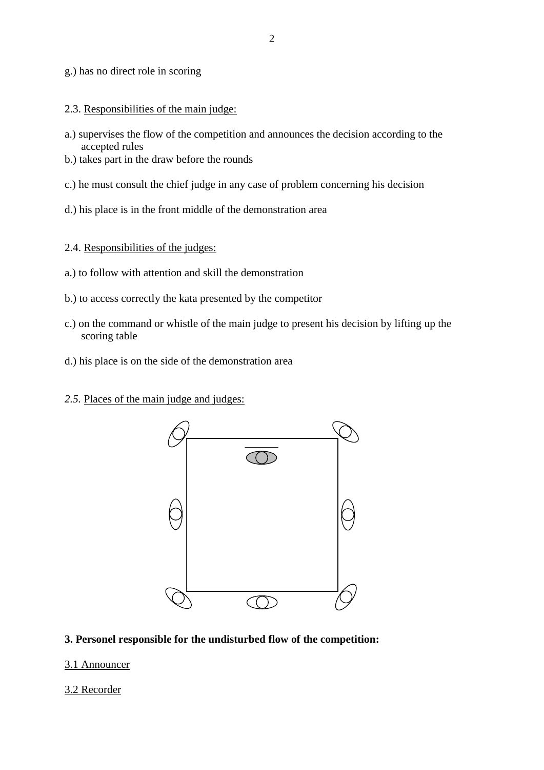g.) has no direct role in scoring

- 2.3. Responsibilities of the main judge:
- a.) supervises the flow of the competition and announces the decision according to the accepted rules
- b.) takes part in the draw before the rounds
- c.) he must consult the chief judge in any case of problem concerning his decision
- d.) his place is in the front middle of the demonstration area
- 2.4. Responsibilities of the judges:
- a.) to follow with attention and skill the demonstration
- b.) to access correctly the kata presented by the competitor
- c.) on the command or whistle of the main judge to present his decision by lifting up the scoring table
- d.) his place is on the side of the demonstration area
- 2.5. Places of the main judge and judges:



### **3. Personel responsible for the undisturbed flow of the competition:**

### 3.1 Announcer

### 3.2 Recorder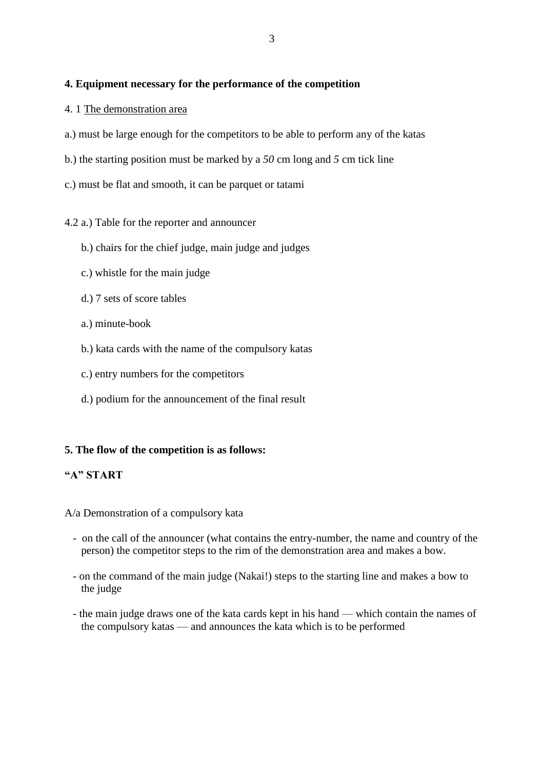## **4. Equipment necessary for the performance of the competition**

- 4. 1 The demonstration area
- a.) must be large enough for the competitors to be able to perform any of the katas
- b.) the starting position must be marked by a *50* cm long and *5* cm tick line
- c.) must be flat and smooth, it can be parquet or tatami

### 4.2 a.) Table for the reporter and announcer

- b.) chairs for the chief judge, main judge and judges
- c.) whistle for the main judge
- d.) 7 sets of score tables
- a.) minute-book
- b.) kata cards with the name of the compulsory katas
- c.) entry numbers for the competitors
- d.) podium for the announcement of the final result

### **5. The flow of the competition is as follows:**

### **"A" START**

A/a Demonstration of a compulsory kata

- on the call of the announcer (what contains the entry-number, the name and country of the person) the competitor steps to the rim of the demonstration area and makes a bow.
- on the command of the main judge (Nakai!) steps to the starting line and makes a bow to the judge
- the main judge draws one of the kata cards kept in his hand which contain the names of the compulsory katas — and announces the kata which is to be performed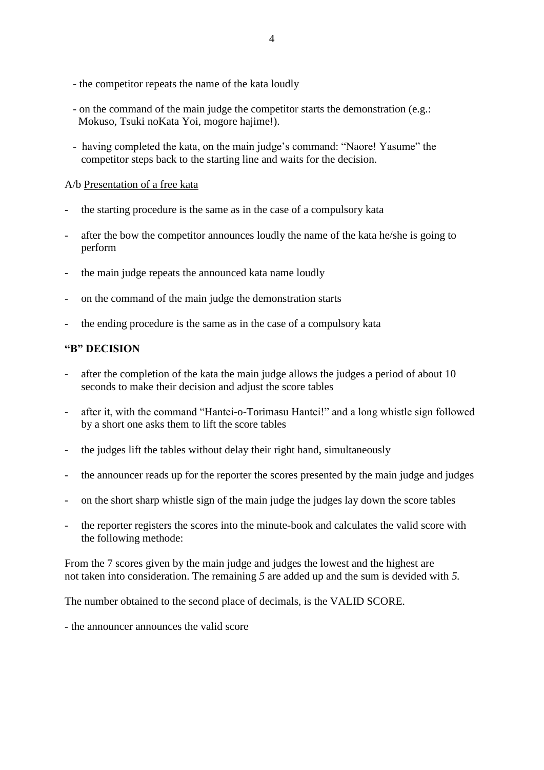- the competitor repeats the name of the kata loudly
- on the command of the main judge the competitor starts the demonstration (e.g.: Mokuso, Tsuki noKata Yoi, mogore hajime!).
- having completed the kata, on the main judge's command: "Naore! Yasume" the competitor steps back to the starting line and waits for the decision.

## A/b Presentation of a free kata

- the starting procedure is the same as in the case of a compulsory kata
- after the bow the competitor announces loudly the name of the kata he/she is going to perform
- the main judge repeats the announced kata name loudly
- on the command of the main judge the demonstration starts
- the ending procedure is the same as in the case of a compulsory kata

# **"B" DECISION**

- after the completion of the kata the main judge allows the judges a period of about 10 seconds to make their decision and adjust the score tables
- after it, with the command "Hantei-o-Torimasu Hantei!" and a long whistle sign followed by a short one asks them to lift the score tables
- the judges lift the tables without delay their right hand, simultaneously
- the announcer reads up for the reporter the scores presented by the main judge and judges
- on the short sharp whistle sign of the main judge the judges lay down the score tables
- the reporter registers the scores into the minute-book and calculates the valid score with the following methode:

From the 7 scores given by the main judge and judges the lowest and the highest are not taken into consideration. The remaining *5* are added up and the sum is devided with *5.* 

The number obtained to the second place of decimals, is the VALID SCORE.

- the announcer announces the valid score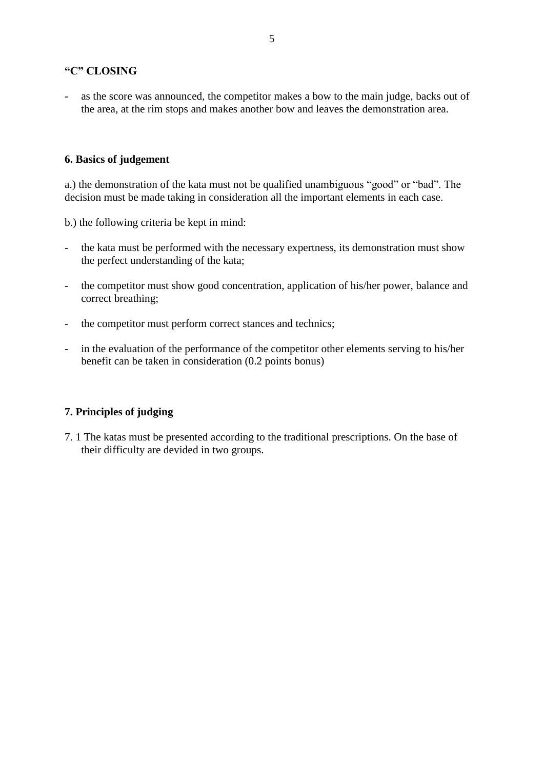# **"C" CLOSING**

as the score was announced, the competitor makes a bow to the main judge, backs out of the area, at the rim stops and makes another bow and leaves the demonstration area.

## **6. Basics of judgement**

a.) the demonstration of the kata must not be qualified unambiguous "good" or "bad". The decision must be made taking in consideration all the important elements in each case.

b.) the following criteria be kept in mind:

- the kata must be performed with the necessary expertness, its demonstration must show the perfect understanding of the kata;
- the competitor must show good concentration, application of his/her power, balance and correct breathing;
- the competitor must perform correct stances and technics;
- in the evaluation of the performance of the competitor other elements serving to his/her benefit can be taken in consideration (0.2 points bonus)

## **7. Principles of judging**

7. 1 The katas must be presented according to the traditional prescriptions. On the base of their difficulty are devided in two groups.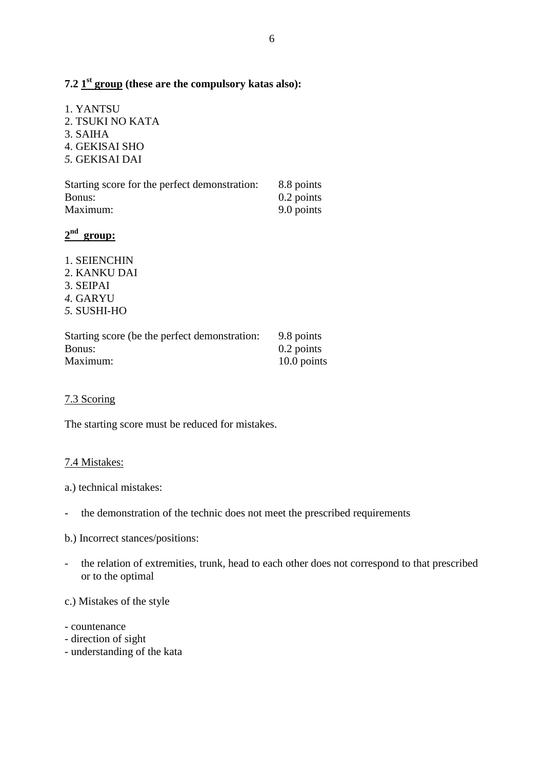# **7.2 1 st group (these are the compulsory katas also):**

1. YANTSU 2. TSUKI NO KATA 3. SAIHA 4. GEKISAI SHO *5.* GEKISAI DAI

| Starting score for the perfect demonstration: | 8.8 points   |
|-----------------------------------------------|--------------|
| Bonus:                                        | $0.2$ points |
| Maximum:                                      | 9.0 points   |

# **2 nd group:**

- 1. SEIENCHIN
- 2. KANKU DAI
- 3. SEIPAI
- *4.* GARYU
- *5.* SUSHI-HO

| Starting score (be the perfect demonstration: | 9.8 points   |
|-----------------------------------------------|--------------|
| Bonus:                                        | $0.2$ points |
| Maximum:                                      | 10.0 points  |

# 7.3 Scoring

The starting score must be reduced for mistakes.

## 7.4 Mistakes:

- a.) technical mistakes:
- the demonstration of the technic does not meet the prescribed requirements
- b.) Incorrect stances/positions:
- the relation of extremities, trunk, head to each other does not correspond to that prescribed or to the optimal

c.) Mistakes of the style

- countenance
- direction of sight
- understanding of the kata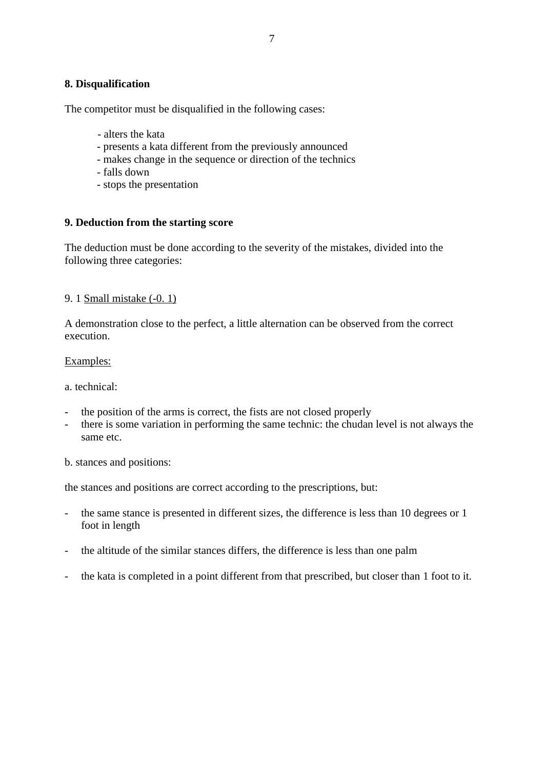## **8. Disqualification**

The competitor must be disqualified in the following cases:

- alters the kata
- presents a kata different from the previously announced
- makes change in the sequence or direction of the technics
- falls down
- stops the presentation

## **9. Deduction from the starting score**

The deduction must be done according to the severity of the mistakes, divided into the following three categories:

## 9. 1 Small mistake (-0. 1)

A demonstration close to the perfect, a little alternation can be observed from the correct execution.

## Examples:

a. technical:

- the position of the arms is correct, the fists are not closed properly
- there is some variation in performing the same technic: the chudan level is not always the same etc.

b. stances and positions:

the stances and positions are correct according to the prescriptions, but:

- the same stance is presented in different sizes, the difference is less than 10 degrees or 1 foot in length
- the altitude of the similar stances differs, the difference is less than one palm
- the kata is completed in a point different from that prescribed, but closer than 1 foot to it.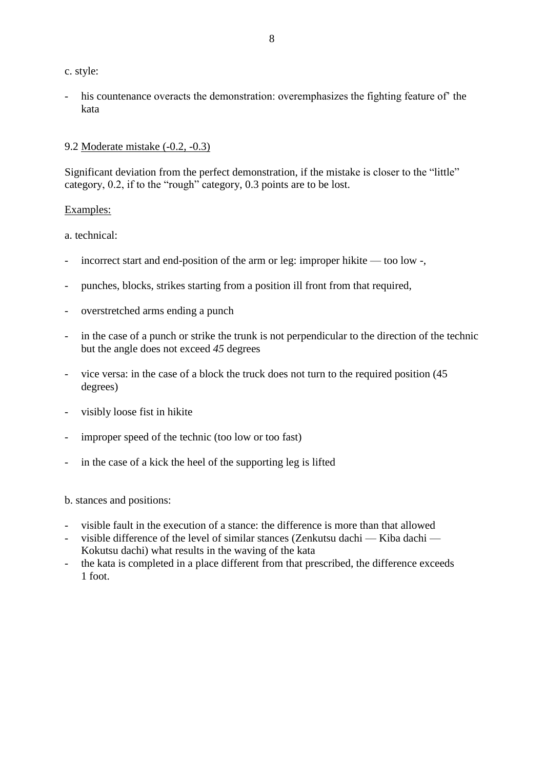c. style:

his countenance overacts the demonstration: overemphasizes the fighting feature of the kata

# 9.2 Moderate mistake (-0.2, -0.3)

Significant deviation from the perfect demonstration, if the mistake is closer to the "little" category, 0.2, if to the "rough" category, 0.3 points are to be lost.

# Examples:

a. technical:

- incorrect start and end-position of the arm or leg: improper hikite too low -,
- punches, blocks, strikes starting from a position ill front from that required,
- overstretched arms ending a punch
- in the case of a punch or strike the trunk is not perpendicular to the direction of the technic but the angle does not exceed *45* degrees
- vice versa: in the case of a block the truck does not turn to the required position (45 degrees)
- visibly loose fist in hikite
- improper speed of the technic (too low or too fast)
- in the case of a kick the heel of the supporting leg is lifted

b. stances and positions:

- visible fault in the execution of a stance: the difference is more than that allowed
- visible difference of the level of similar stances (Zenkutsu dachi Kiba dachi Kokutsu dachi) what results in the waving of the kata
- the kata is completed in a place different from that prescribed, the difference exceeds 1 foot.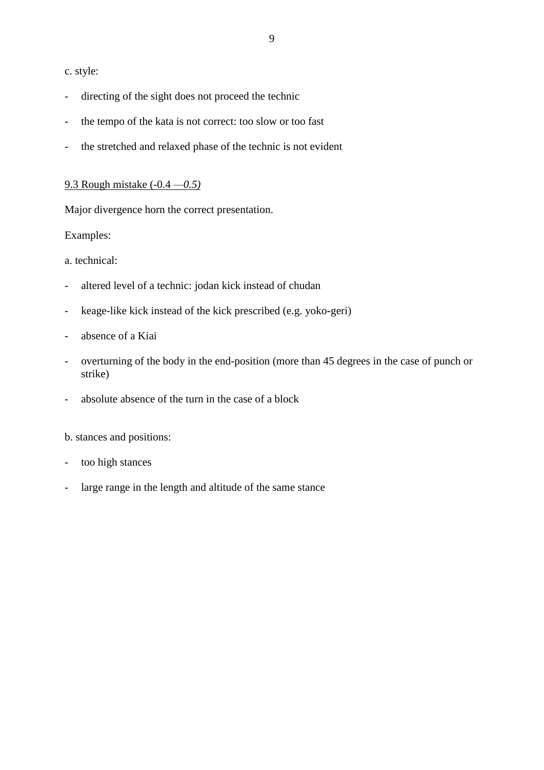### c. style:

- directing of the sight does not proceed the technic
- the tempo of the kata is not correct: too slow or too fast
- the stretched and relaxed phase of the technic is not evident

### 9.3 Rough mistake (-0.4 *—0.5)*

Major divergence horn the correct presentation.

## Examples:

a. technical:

- altered level of a technic: jodan kick instead of chudan
- keage-like kick instead of the kick prescribed (e.g. yoko-geri)
- absence of a Kiai
- overturning of the body in the end-position (more than 45 degrees in the case of punch or strike)
- absolute absence of the turn in the case of a block

b. stances and positions:

- too high stances
- large range in the length and altitude of the same stance